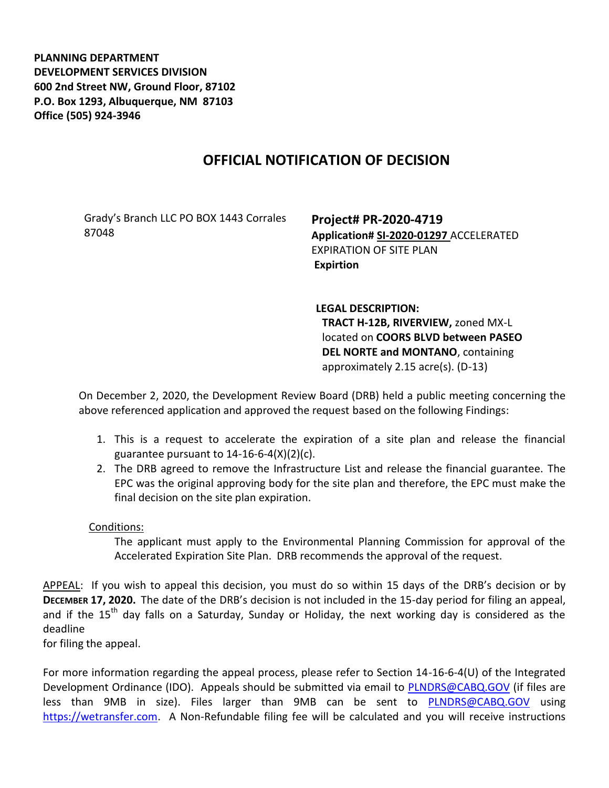**PLANNING DEPARTMENT DEVELOPMENT SERVICES DIVISION 600 2nd Street NW, Ground Floor, 87102 P.O. Box 1293, Albuquerque, NM 87103 Office (505) 924-3946** 

## **OFFICIAL NOTIFICATION OF DECISION**

Grady's Branch LLC PO BOX 1443 Corrales 87048

**Project# PR-2020-4719 Application# SI-2020-01297** ACCELERATED EXPIRATION OF SITE PLAN **Expirtion** 

**LEGAL DESCRIPTION: TRACT H-12B, RIVERVIEW,** zoned MX-L located on **COORS BLVD between PASEO DEL NORTE and MONTANO**, containing approximately 2.15 acre(s). (D-13)

On December 2, 2020, the Development Review Board (DRB) held a public meeting concerning the above referenced application and approved the request based on the following Findings:

- 1. This is a request to accelerate the expiration of a site plan and release the financial guarantee pursuant to  $14-16-6-4(X)(2)(c)$ .
- 2. The DRB agreed to remove the Infrastructure List and release the financial guarantee. The EPC was the original approving body for the site plan and therefore, the EPC must make the final decision on the site plan expiration.

## Conditions:

The applicant must apply to the Environmental Planning Commission for approval of the Accelerated Expiration Site Plan. DRB recommends the approval of the request.

APPEAL: If you wish to appeal this decision, you must do so within 15 days of the DRB's decision or by **DECEMBER 17, 2020.** The date of the DRB's decision is not included in the 15-day period for filing an appeal, and if the 15<sup>th</sup> day falls on a Saturday, Sunday or Holiday, the next working day is considered as the deadline

for filing the appeal.

For more information regarding the appeal process, please refer to Section 14-16-6-4(U) of the Integrated Development Ordinance (IDO). Appeals should be submitted via email to [PLNDRS@CABQ.GOV](mailto:PLNDRS@CABQ.GOV) (if files are less than 9MB in size). Files larger than 9MB can be sent to [PLNDRS@CABQ.GOV](mailto:PLNDRS@CABQ.GOV) using [https://wetransfer.com.](https://wetransfer.com/) A Non-Refundable filing fee will be calculated and you will receive instructions